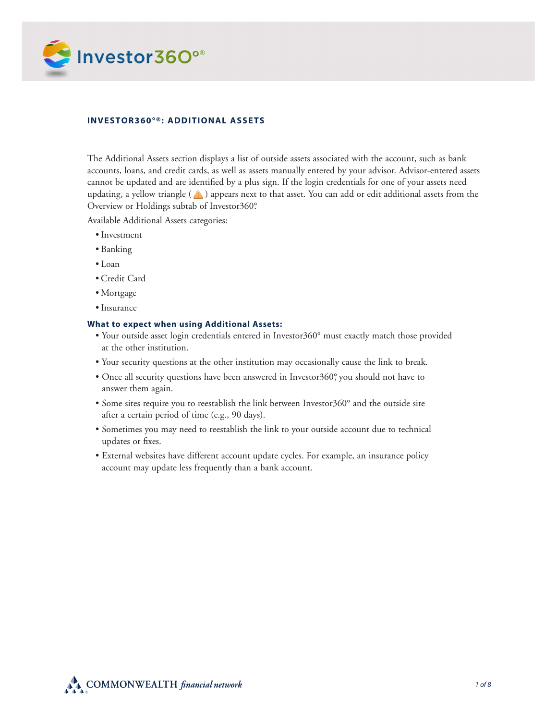

# **Investor360°®: Additional Assets**

The Additional Assets section displays a list of outside assets associated with the account, such as bank accounts, loans, and credit cards, as well as assets manually entered by your advisor. Advisor-entered assets cannot be updated and are identified by a plus sign. If the login credentials for one of your assets need updating, a yellow triangle  $(\triangle)$  appears next to that asset. You can add or edit additional assets from the Overview or Holdings subtab of Investor360°.

Available Additional Assets categories:

- • Investment
- • Banking
- • Loan
- • Credit Card
- • Mortgage
- Insurance

### **What to expect when using Additional Assets:**

- Your outside asset login credentials entered in Investor360° must exactly match those provided at the other institution.
- Your security questions at the other institution may occasionally cause the link to break.
- Once all security questions have been answered in Investor360°, you should not have to answer them again.
- Some sites require you to reestablish the link between Investor360° and the outside site after a certain period of time (e.g., 90 days).
- Sometimes you may need to reestablish the link to your outside account due to technical updates or fixes.
- External websites have different account update cycles. For example, an insurance policy account may update less frequently than a bank account.

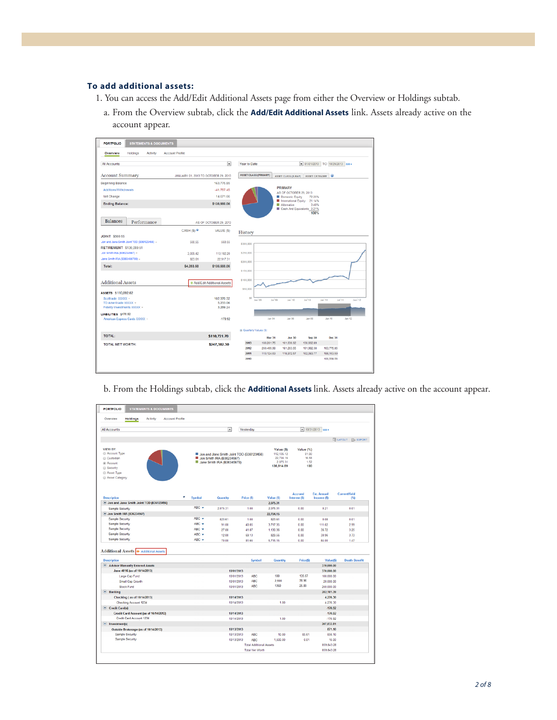# **To add additional assets:**

- 1. You can access the Add/Edit Additional Assets page from either the Overview or Holdings subtab.
	- a. From the Overview subtab, click the **Add/Edit Additional Assets** link. Assets already active on the account appear.

| <b>PORTFOLIO</b>                                       | <b>STATEMENTS &amp; DOCUMENTS</b> |          |                        |             |                                      |                              |                                  |                                                                          |                     |                                         |                               |
|--------------------------------------------------------|-----------------------------------|----------|------------------------|-------------|--------------------------------------|------------------------------|----------------------------------|--------------------------------------------------------------------------|---------------------|-----------------------------------------|-------------------------------|
| Overview                                               | Holdings                          | Activity | <b>Account Profile</b> |             |                                      |                              |                                  |                                                                          |                     |                                         |                               |
| <b>All Accounts</b>                                    |                                   |          |                        |             | $\overline{\phantom{a}}$             | <b>Year to Date</b>          |                                  |                                                                          |                     | $\bullet$ 01/01/2013 TO 10/29/2013 GO + |                               |
| <b>Account Summary</b>                                 |                                   |          |                        |             | JANUARY 01, 2013 TO OCTOBER 29, 2013 | <b>ASSET CLASS (PRIMARY)</b> |                                  | ASSET CLASS (X-RAY) ASSET CATEGORY                                       |                     |                                         |                               |
| <b>Beginning Balance</b>                               |                                   |          |                        |             | 163.775.85                           |                              |                                  |                                                                          |                     |                                         |                               |
| Additions/Withdrawals                                  |                                   |          |                        |             | $-41,787,45$                         |                              |                                  | <b>PRIMARY</b><br>AS OF OCTOBER 29, 2013                                 |                     |                                         |                               |
| Net Change                                             |                                   |          |                        |             | 14.671.66                            |                              |                                  | Domestic Equity                                                          | 72.25%              |                                         |                               |
| <b>Ending Balance:</b>                                 |                                   |          |                        |             | \$136,660.06                         |                              |                                  | International Equity 21.14%<br>Alternative<br>Cash And Equivalents 3.21% | 3.40%               |                                         |                               |
| <b>Balances</b>                                        | Performance                       |          |                        |             | AS OF OCTOBER 29, 2013               |                              |                                  |                                                                          | 100%                |                                         |                               |
|                                                        |                                   |          |                        | CASH (\$) @ | VALUE (\$)                           |                              |                                  |                                                                          |                     |                                         |                               |
| <b>JOINT \$560.55</b>                                  |                                   |          |                        |             |                                      | History                      |                                  |                                                                          |                     |                                         |                               |
| Jon and Jane Smith Joint TOD (B36123456) -             |                                   |          |                        | 560.55      | 560.55                               | \$300,000                    |                                  |                                                                          |                     |                                         |                               |
| <b>RETIREMENT \$136,099.51</b>                         |                                   |          |                        |             |                                      |                              |                                  |                                                                          |                     |                                         |                               |
| Jon Smith IRA (B36234567) =                            |                                   |          |                        | 3.009.42    | 113.182.20                           | \$250,000                    |                                  |                                                                          |                     |                                         |                               |
| Jane Smith IRA (B363456789) -                          |                                   |          |                        | 823.61      | 22.917.31                            | \$200,000                    |                                  |                                                                          |                     |                                         |                               |
| Total:                                                 |                                   |          |                        | \$4,393.58  | \$136,660.06                         |                              |                                  |                                                                          |                     |                                         |                               |
|                                                        |                                   |          |                        |             |                                      | \$150,000                    |                                  |                                                                          |                     |                                         |                               |
| <b>Additional Assets</b>                               |                                   |          |                        |             | + Add/Edit Additional Assets         | \$100,000                    |                                  |                                                                          |                     |                                         |                               |
| ASSETS S 110,892.62                                    |                                   |          |                        |             |                                      | \$50,000                     |                                  |                                                                          |                     |                                         |                               |
| Scottrade XXXX -                                       |                                   |          |                        |             | 102.370.32                           | \$0                          | Jan <sup>'109</sup><br>por luit. | Jan '10                                                                  | Jul <sup>1</sup> 10 | Jan <sup>1</sup> 11                     | Jul <sup>1</sup> 11<br>Jan'12 |
| TD Ameritrade XXXXX -                                  |                                   |          |                        |             | 5.233.06                             |                              |                                  |                                                                          |                     |                                         |                               |
| Fidelity Investments XXXXX -                           |                                   |          |                        |             | 3.289.24                             |                              |                                  |                                                                          |                     |                                         |                               |
| LIABILITIES \$170.92<br>American Express Cards XXXXX - |                                   |          |                        |             | $-170.92$                            |                              | Jan 04                           | 36 net                                                                   | <b>SO</b> est.      | Jan <sub>10</sub>                       | Jan <sub>12</sub>             |
|                                                        |                                   |          |                        |             |                                      | a Quarterly Values (\$)      |                                  |                                                                          |                     |                                         |                               |
| <b>TOTAL:</b>                                          |                                   |          |                        |             | \$110,721.70                         |                              | Mar 31                           | <b>Jun 30</b>                                                            | Sep 30              | <b>Dec 31</b>                           |                               |
| <b>TOTAL NET WORTH:</b>                                |                                   |          |                        |             | \$247,382.30                         | 2013                         | 166,261.75                       | 161.636.62                                                               | 130,662.89          |                                         |                               |
|                                                        |                                   |          |                        |             |                                      | 2012                         | 260.495.98                       | 181,263.55                                                               | 191,982.38          | 163,775.85                              |                               |
|                                                        |                                   |          |                        |             |                                      | 2011                         | 113.124.63                       | 118,972.57                                                               | 102.083.77          | 199,163.50                              |                               |
|                                                        |                                   |          |                        |             |                                      | 2010                         |                                  |                                                                          |                     | 100,568.56                              |                               |

b. From the Holdings subtab, click the **Additional Assets** link. Assets already active on the account appear.

| Overview<br><b>Holdings</b><br><b>Account Profile</b><br>Activity |                     |                            |                                          |                       |                |                           |                          |
|-------------------------------------------------------------------|---------------------|----------------------------|------------------------------------------|-----------------------|----------------|---------------------------|--------------------------|
|                                                                   |                     |                            |                                          |                       |                |                           |                          |
| <b>All Accounts</b>                                               |                     | $\overline{ }$             | Yesterday                                |                       |                | $\bullet$ 10/31/2013 GO + |                          |
|                                                                   |                     |                            |                                          |                       |                |                           |                          |
|                                                                   |                     |                            |                                          |                       |                |                           | <b>E LAYOUT E EXPORT</b> |
| VIEW BY:                                                          |                     |                            |                                          | Value (\$)            | Value (%)      |                           |                          |
| Account Type                                                      |                     |                            | Jon and Jane Smith Joint TOD (B36123456) | 112.135.12            | 81.90          |                           |                          |
| Custodian                                                         |                     | Jon Smith IRA (B36234567)  |                                          | 22,704.16<br>2.075.31 | 16.58<br>1.52  |                           |                          |
| @ Account                                                         |                     | Jane Smith IRA (B36345678) |                                          | 136,914.59            | 100            |                           |                          |
| Security                                                          |                     |                            |                                          |                       |                |                           |                          |
| Asset Type                                                        |                     |                            |                                          |                       |                |                           |                          |
| Asset Category                                                    |                     |                            |                                          |                       |                |                           |                          |
|                                                                   |                     |                            |                                          |                       |                |                           |                          |
|                                                                   |                     |                            |                                          |                       | <b>Accrued</b> | <b>Est. Annual</b>        | <b>CurrentYield</b>      |
| <b>Description</b>                                                | Symbol              | Quantity                   | Price (\$)                               | Value (\$)            | Interest (\$)  | Income (\$)               | (5)                      |
| Jon and Jane Smith Joint TOD (B36123456)                          | $ABC$ $\rightarrow$ |                            |                                          | 2.075.31              |                |                           |                          |
| Sample Security                                                   |                     | 2.075.31                   | 1.00                                     | 2.075.31              | 0.00           | 0.21                      | 0.01                     |
| <b>Jon Smith IRA (B36234567)</b>                                  |                     |                            |                                          | 22,704.15             |                |                           |                          |
| Sample Security                                                   | ABC +               | 823.61                     | 1.00                                     | 823.61                | 0.00           | 0.08                      | 0.01                     |
| Sample Security                                                   | $ABC$ $\rightarrow$ | 91.00                      | 40.85                                    | 3.717.35              | 0.00           | 111.02                    | 2.99                     |
| <b>Sample Security</b>                                            | ABC Y               | 27.00                      | 41.87                                    | 1,130.36              | 0.00           | 36.72                     | 3.25                     |
| Sample Security                                                   | $ABC +$             | 12.00                      | 69.13                                    | 829.56                | 0.00           | 30.96                     | 3.73                     |
| Sample Security                                                   | $ABC$ $\rightarrow$ | 70.00                      | 81.65                                    | 5.715.15              | 0.00           | 84.00                     | 1.47                     |
|                                                                   |                     |                            |                                          |                       |                |                           |                          |
| <b>Additional Assets + Additional Assets</b>                      |                     |                            |                                          |                       |                |                           |                          |
| <b>Description</b>                                                |                     |                            | Symbol                                   | Quantity              | Price(\$)      | Value(\$)                 | <b>Death Benefit</b>     |
| Advisor Manually Entered Assets                                   |                     |                            |                                          |                       |                | 370,000.00                |                          |
| Jane 401K (as of 10/14/2013)                                      |                     |                            | 10/01/2013                               |                       |                | 370,000.00                |                          |
| Large Cap Fund                                                    |                     |                            | 10/01/2013<br><b>ABC</b>                 | 100                   | 135.67         | 100.000.00                |                          |
| Small Cap Growth                                                  |                     |                            | <b>ABC</b><br>10/01/2013                 | 2,500                 | 78.96          | 20,000.00                 |                          |
| Stock Fund                                                        |                     |                            | <b>ABC</b><br>10/01/2013                 | 1360                  | 25.89          | 250.000.00                |                          |
| Bankina                                                           |                     |                            |                                          |                       |                | 282.181.39                |                          |
| Checking (as of 10/14/2013)                                       |                     |                            | 10/14/2013                               |                       |                | 4,276.30                  |                          |
| Checking Account 1234                                             |                     |                            | 10/14/2013                               | 100                   |                | 4.276.30                  |                          |
| Credit Card(s)                                                    |                     |                            |                                          |                       |                | $-170.92$                 |                          |
| Credit Card Account (as of 10/14/2013)                            |                     |                            | 10/14/2013                               |                       |                | $-170.92$                 |                          |
| Credit Card Account 1234                                          |                     |                            | 10/14/2013                               | 1.00                  |                | $-170.92$                 |                          |
| lnvestment(s)                                                     |                     |                            |                                          |                       |                | 207.832.81                |                          |
| Outside Brokerage (as of 10/14/2013)                              |                     |                            | 10/13/2013                               |                       |                | 871.10                    |                          |
| <b>Sample Security</b>                                            |                     |                            | <b>ABC</b><br>10/13/2013                 | 10.00                 | 85.61          | 856.10                    |                          |
| <b>Sample Security</b>                                            |                     |                            | 10/13/2013<br>ABC:                       | 1,500.00              | 0.01           | 15.00                     |                          |
|                                                                   |                     |                            | <b>Total Additional Assets</b>           |                       |                | 859.843.28                |                          |
|                                                                   |                     |                            | <b>Total Net Worth</b>                   |                       |                | 859, 843.28               |                          |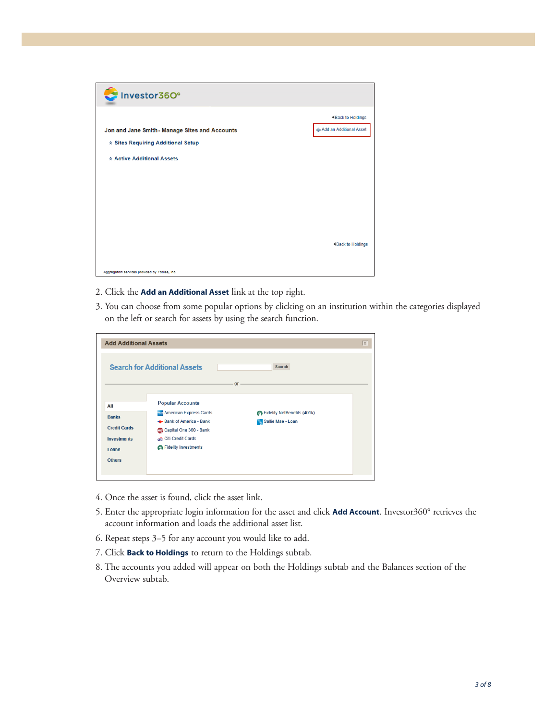

- 2. Click the **Add an Additional Asset** link at the top right.
- 3. You can choose from some popular options by clicking on an institution within the categories displayed on the left or search for assets by using the search function.

| <b>Add Additional Assets</b> |                                     |                             | $\vert x \vert$ |
|------------------------------|-------------------------------------|-----------------------------|-----------------|
|                              | <b>Search for Additional Assets</b> | Search                      |                 |
|                              |                                     | $or -$                      |                 |
| All                          | <b>Popular Accounts</b>             |                             |                 |
| <b>Banks</b>                 | <b>American Express Cards</b>       | Fidelity NetBenefits (401k) |                 |
|                              | Bank of America - Bank              | Sallie Mae - Loan           |                 |
| <b>Credit Cards</b>          | erg Capital One 360 - Bank          |                             |                 |
| <b>Investments</b>           | citi Credit Cards                   |                             |                 |
| Loans                        | <b>Co</b> Fidelity Investments      |                             |                 |
| <b>Others</b>                |                                     |                             |                 |
|                              |                                     |                             |                 |

- 4. Once the asset is found, click the asset link.
- 5. Enter the appropriate login information for the asset and click **Add Account**. Investor360° retrieves the account information and loads the additional asset list.
- 6. Repeat steps 3–5 for any account you would like to add.
- 7. Click **Back to Holdings** to return to the Holdings subtab.
- 8. The accounts you added will appear on both the Holdings subtab and the Balances section of the Overview subtab.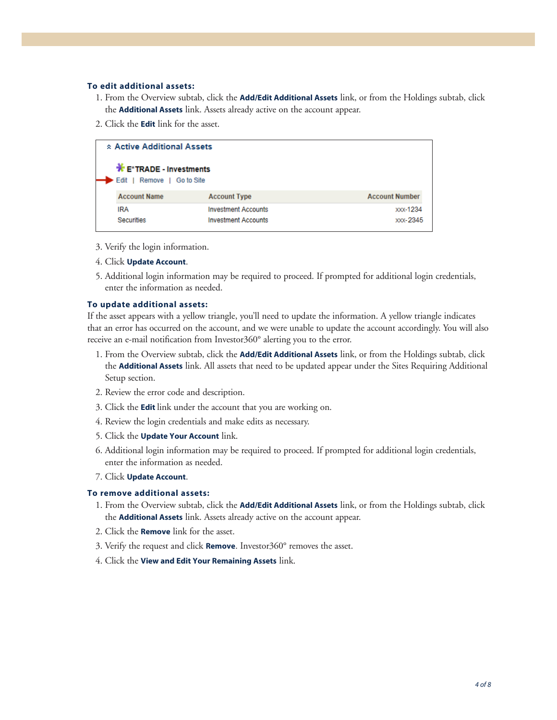### **To edit additional assets:**

- 1. From the Overview subtab, click the **Add/Edit Additional Assets** link, or from the Holdings subtab, click the **Additional Assets** link. Assets already active on the account appear.
- 2. Click the **Edit** link for the asset.

| * Active Additional Assets                                                 |                            |                       |
|----------------------------------------------------------------------------|----------------------------|-----------------------|
| $\mathbf{\mathbf{F}}$ E*TRADE - Investments<br>Remove   Go to Site<br>Edit |                            |                       |
| <b>Account Name</b>                                                        | <b>Account Type</b>        | <b>Account Number</b> |
| IRA                                                                        | <b>Investment Accounts</b> | <b>XXX-1234</b>       |
| <b>Securities</b>                                                          | <b>Investment Accounts</b> | xxx-2345              |

- 3. Verify the login information.
- 4. Click **Update Account**.
- 5. Additional login information may be required to proceed. If prompted for additional login credentials, enter the information as needed.

#### **To update additional assets:**

If the asset appears with a yellow triangle, you'll need to update the information. A yellow triangle indicates that an error has occurred on the account, and we were unable to update the account accordingly. You will also receive an e-mail notification from Investor360° alerting you to the error.

- 1. From the Overview subtab, click the **Add/Edit Additional Assets** link, or from the Holdings subtab, click the **Additional Assets** link. All assets that need to be updated appear under the Sites Requiring Additional Setup section.
- 2. Review the error code and description.
- 3. Click the **Edit** link under the account that you are working on.
- 4. Review the login credentials and make edits as necessary.
- 5. Click the **Update Your Account** link.
- 6. Additional login information may be required to proceed. If prompted for additional login credentials, enter the information as needed.
- 7. Click **Update Account**.

#### **To remove additional assets:**

- 1. From the Overview subtab, click the **Add/Edit Additional Assets** link, or from the Holdings subtab, click the **Additional Assets** link. Assets already active on the account appear.
- 2. Click the **Remove** link for the asset.
- 3. Verify the request and click **Remove**. Investor360° removes the asset.
- 4. Click the **View and Edit Your Remaining Assets** link.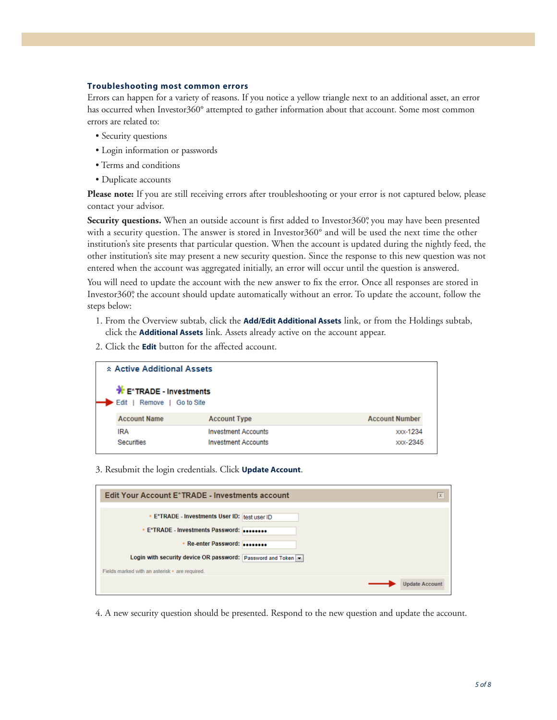#### **Troubleshooting most common errors**

Errors can happen for a variety of reasons. If you notice a yellow triangle next to an additional asset, an error has occurred when Investor360° attempted to gather information about that account. Some most common errors are related to:

- Security questions
- Login information or passwords
- Terms and conditions
- Duplicate accounts

**Please note:** If you are still receiving errors after troubleshooting or your error is not captured below, please contact your advisor.

**Security questions.** When an outside account is first added to Investor360°, you may have been presented with a security question. The answer is stored in Investor360° and will be used the next time the other institution's site presents that particular question. When the account is updated during the nightly feed, the other institution's site may present a new security question. Since the response to this new question was not entered when the account was aggregated initially, an error will occur until the question is answered.

You will need to update the account with the new answer to fix the error. Once all responses are stored in Investor360°, the account should update automatically without an error. To update the account, follow the steps below:

- 1. From the Overview subtab, click the **Add/Edit Additional Assets** link, or from the Holdings subtab, click the **Additional Assets** link. Assets already active on the account appear.
- 2. Click the **Edit** button for the affected account.

| * Active Additional Assets                          |                            |                       |
|-----------------------------------------------------|----------------------------|-----------------------|
| E*TRADE - Investments<br>Edit   Remove   Go to Site |                            |                       |
| <b>Account Name</b>                                 | <b>Account Type</b>        | <b>Account Number</b> |
| IRA                                                 | <b>Investment Accounts</b> | <b>XXX-1234</b>       |
| <b>Securities</b>                                   | <b>Investment Accounts</b> | xxx-2345              |

3. Resubmit the login credentials. Click **Update Account**.

| Edit Your Account E*TRADE - Investments account                                                              | X                     |
|--------------------------------------------------------------------------------------------------------------|-----------------------|
| * E*TRADE - Investments User ID: test user ID                                                                |                       |
| * E*TRADE - Investments Password:<br>* Re-enter Password:                                                    |                       |
| Login with security device OR password: Password and Token<br>Fields marked with an asterisk * are required. |                       |
|                                                                                                              | <b>Update Account</b> |

4. A new security question should be presented. Respond to the new question and update the account.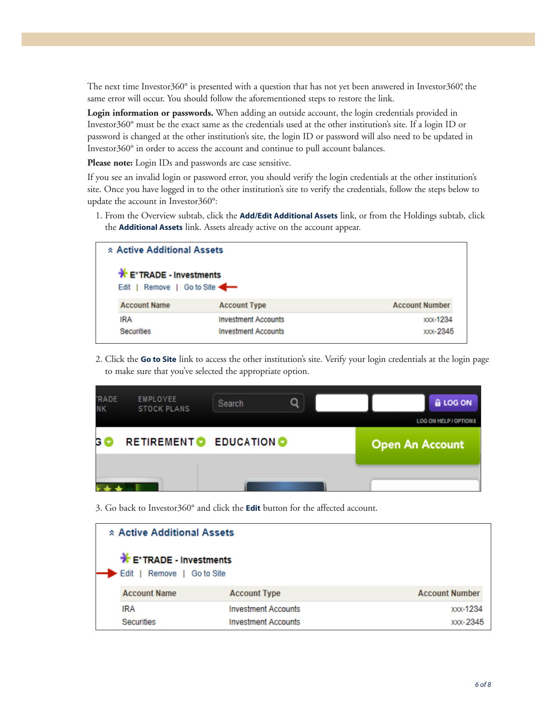The next time Investor360° is presented with a question that has not yet been answered in Investor360°, the same error will occur. You should follow the aforementioned steps to restore the link.

**Login information or passwords.** When adding an outside account, the login credentials provided in Investor360° must be the exact same as the credentials used at the other institution's site. If a login ID or password is changed at the other institution's site, the login ID or password will also need to be updated in Investor360° in order to access the account and continue to pull account balances.

**Please note:** Login IDs and passwords are case sensitive.

If you see an invalid login or password error, you should verify the login credentials at the other institution's site. Once you have logged in to the other institution's site to verify the credentials, follow the steps below to update the account in Investor360°:

1. From the Overview subtab, click the **Add/Edit Additional Assets** link, or from the Holdings subtab, click the **Additional Assets** link. Assets already active on the account appear.

| * Active Additional Assets    |                            |                       |
|-------------------------------|----------------------------|-----------------------|
| E*TRADE - Investments<br>Edit | Remove   Go to Site        |                       |
| <b>Account Name</b>           | <b>Account Type</b>        | <b>Account Number</b> |
| <b>IRA</b>                    | <b>Investment Accounts</b> | <b>XXX-1234</b>       |
| <b>Securities</b>             | <b>Investment Accounts</b> | xxx-2345              |

2. Click the **Go to Site** link to access the other institution's site. Verify your login credentials at the login page to make sure that you've selected the appropriate option.

| <b>TRADE</b><br><b>NK</b> | EMPLOYEE<br><b>STOCK PLANS</b> | Search                 | O |                        | & LOG ON                     |
|---------------------------|--------------------------------|------------------------|---|------------------------|------------------------------|
|                           |                                |                        |   |                        | <b>LOG ON HELP / OPTIONS</b> |
| G (                       |                                | RETIREMENT C EDUCATION |   | <b>Open An Account</b> |                              |
|                           |                                |                        |   |                        |                              |

3. Go back to Investor360° and click the **Edit** button for the affected account.

| * Active Additional Assets                           |                            |                       |
|------------------------------------------------------|----------------------------|-----------------------|
| E*TRADE - Investments<br>Remove   Go to Site<br>Edit |                            |                       |
| <b>Account Name</b>                                  | <b>Account Type</b>        | <b>Account Number</b> |
| IRA                                                  | <b>Investment Accounts</b> | xxx-1234              |
| <b>Securities</b>                                    | <b>Investment Accounts</b> | <b>XXX-2345</b>       |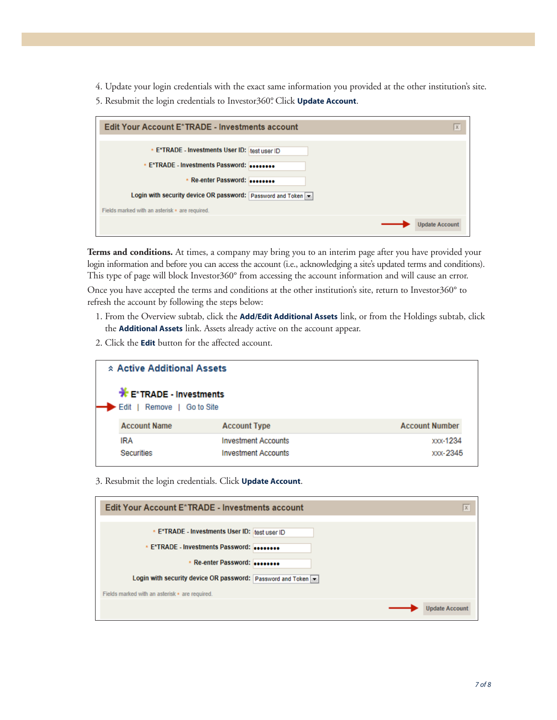4. Update your login credentials with the exact same information you provided at the other institution's site. 5. Resubmit the login credentials to Investor360°. Click **Update Account**.

| Edit Your Account E*TRADE - Investments account                                                                                      | $\overline{x}$ |
|--------------------------------------------------------------------------------------------------------------------------------------|----------------|
| * E*TRADE - Investments User ID: test user ID<br>* E*TRADE - Investments Password:                                                   |                |
| * Re-enter Password:<br>Login with security device OR password: Password and Token<br>Fields marked with an asterisk * are required. |                |
| <b>Update Account</b>                                                                                                                |                |

**Terms and conditions.** At times, a company may bring you to an interim page after you have provided your login information and before you can access the account (i.e., acknowledging a site's updated terms and conditions). This type of page will block Investor360° from accessing the account information and will cause an error. Once you have accepted the terms and conditions at the other institution's site, return to Investor360° to

refresh the account by following the steps below:

- 1. From the Overview subtab, click the **Add/Edit Additional Assets** link, or from the Holdings subtab, click the **Additional Assets** link. Assets already active on the account appear.
- 2. Click the **Edit** button for the affected account.

| <b>☆ Active Additional Assets</b>                    |                            |                       |
|------------------------------------------------------|----------------------------|-----------------------|
| E*TRADE - Investments<br>Edit<br>Remove   Go to Site |                            |                       |
| <b>Account Name</b>                                  | <b>Account Type</b>        | <b>Account Number</b> |
| IRA                                                  | <b>Investment Accounts</b> | <b>xxx-1234</b>       |
| Securities                                           | <b>Investment Accounts</b> | xxx-2345              |

3. Resubmit the login credentials. Click **Update Account**.

| Edit Your Account E*TRADE - Investments account            | $\overline{\mathbf{x}}$ |
|------------------------------------------------------------|-------------------------|
| * E*TRADE - Investments User ID: test user ID              |                         |
| * E*TRADE - Investments Password:<br>* Re-enter Password:  |                         |
| Login with security device OR password: Password and Token |                         |
| Fields marked with an asterisk * are required.             | <b>Update Account</b>   |